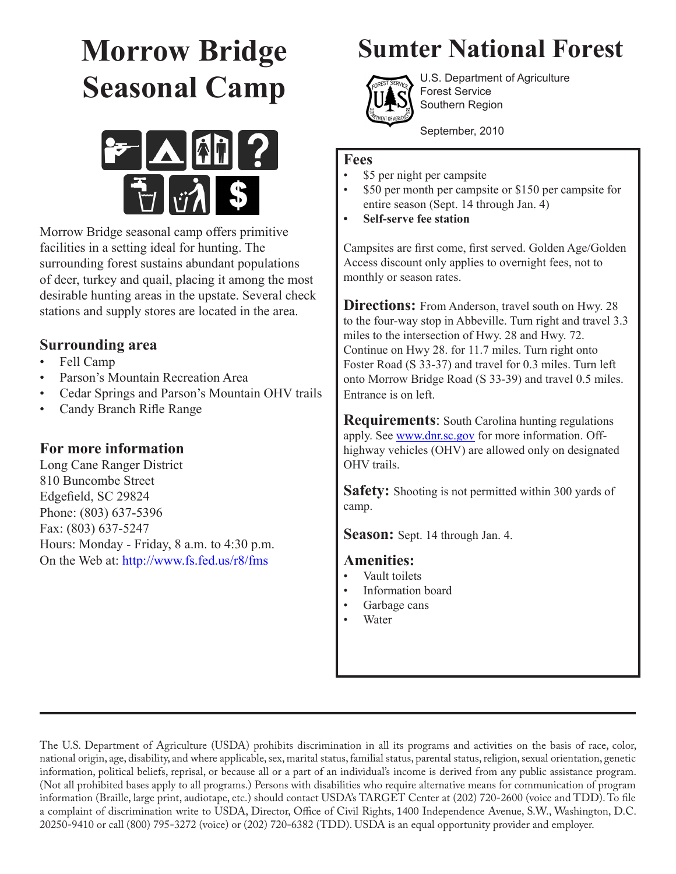# **Morrow Bridge Seasonal Camp**



Morrow Bridge seasonal camp offers primitive facilities in a setting ideal for hunting. The surrounding forest sustains abundant populations of deer, turkey and quail, placing it among the most desirable hunting areas in the upstate. Several check stations and supply stores are located in the area.

## **Surrounding area**

- Fell Camp
- Parson's Mountain Recreation Area
- Cedar Springs and Parson's Mountain OHV trails
- Candy Branch Rifle Range

### **For more information**

Long Cane Ranger District 810 Buncombe Street Edgefield, SC 29824 Phone: (803) 637-5396 Fax: (803) 637-5247 Hours: Monday - Friday, 8 a.m. to 4:30 p.m. On the Web at: http://www.fs.fed.us/r8/fms

# **Sumter National Forest**



U.S. Department of Agriculture Forest Service Southern Region

September, 2010

### **Fees**

- \$5 per night per campsite
- \$50 per month per campsite or \$150 per campsite for entire season (Sept. 14 through Jan. 4)
- **Self-serve fee station**

Campsites are first come, first served. Golden Age/Golden Access discount only applies to overnight fees, not to monthly or season rates.

**Directions:** From Anderson, travel south on Hwy. 28 to the four-way stop in Abbeville. Turn right and travel 3.3 miles to the intersection of Hwy. 28 and Hwy. 72. Continue on Hwy 28. for 11.7 miles. Turn right onto Foster Road (S 33-37) and travel for 0.3 miles. Turn left onto Morrow Bridge Road (S 33-39) and travel 0.5 miles. Entrance is on left.

**Requirements**: South Carolina hunting regulations apply. See www.dnr.sc.gov for more information. Offhighway vehicles (OHV) are allowed only on designated OHV trails.

**Safety:** Shooting is not permitted within 300 yards of camp.

**Season:** Sept. 14 through Jan. 4.

### **Amenities:**

- Vault toilets
- Information board
- Garbage cans
- **Water**

The U.S. Department of Agriculture (USDA) prohibits discrimination in all its programs and activities on the basis of race, color, national origin, age, disability, and where applicable, sex, marital status, familial status, parental status, religion, sexual orientation, genetic information, political beliefs, reprisal, or because all or a part of an individual's income is derived from any public assistance program. (Not all prohibited bases apply to all programs.) Persons with disabilities who require alternative means for communication of program information (Braille, large print, audiotape, etc.) should contact USDA's TARGET Center at (202) 720-2600 (voice and TDD). To file a complaint of discrimination write to USDA, Director, Office of Civil Rights, 1400 Independence Avenue, S.W., Washington, D.C. 20250-9410 or call (800) 795-3272 (voice) or (202) 720-6382 (TDD). USDA is an equal opportunity provider and employer.